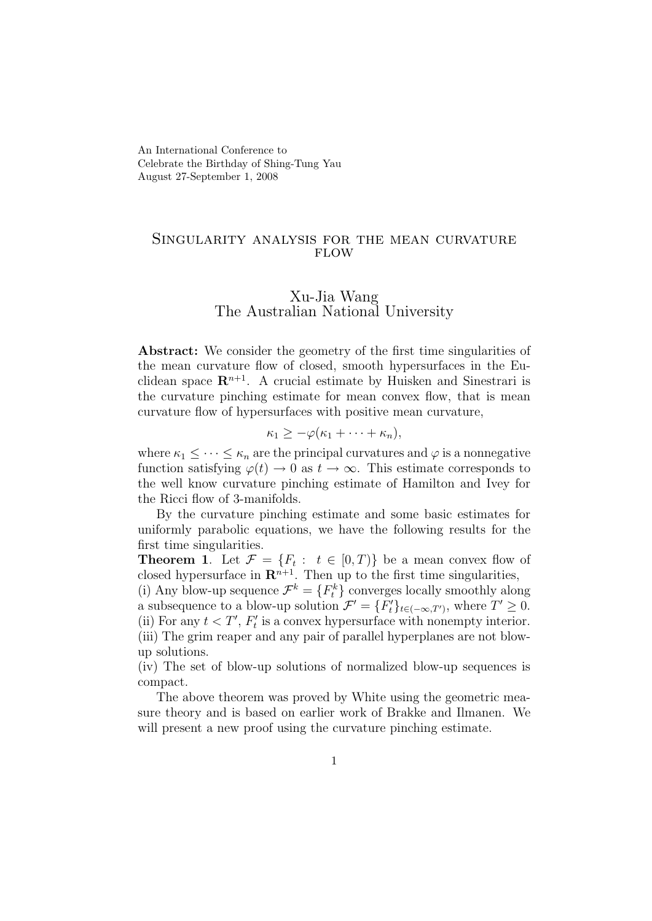An International Conference to Celebrate the Birthday of Shing-Tung Yau August 27-September 1, 2008

## Singularity analysis for the mean curvature **FLOW**

## Xu-Jia Wang The Australian National University

Abstract: We consider the geometry of the first time singularities of the mean curvature flow of closed, smooth hypersurfaces in the Euclidean space  $\mathbb{R}^{n+1}$ . A crucial estimate by Huisken and Sinestrari is the curvature pinching estimate for mean convex flow, that is mean curvature flow of hypersurfaces with positive mean curvature,

$$
\kappa_1 \geq -\varphi(\kappa_1 + \cdots + \kappa_n),
$$

where  $\kappa_1 \leq \cdots \leq \kappa_n$  are the principal curvatures and  $\varphi$  is a nonnegative function satisfying  $\varphi(t) \to 0$  as  $t \to \infty$ . This estimate corresponds to the well know curvature pinching estimate of Hamilton and Ivey for the Ricci flow of 3-manifolds.

By the curvature pinching estimate and some basic estimates for uniformly parabolic equations, we have the following results for the first time singularities.

**Theorem 1.** Let  $\mathcal{F} = \{F_t : t \in [0,T)\}\$ be a mean convex flow of closed hypersurface in  $\mathbb{R}^{n+1}$ . Then up to the first time singularities,

(i) Any blow-up sequence  $\mathcal{F}^k = \{F_t^k\}$  converges locally smoothly along a subsequence to a blow-up solution  $\mathcal{F}' = \{F'_t\}_{t \in (-\infty,T')}$ , where  $T' \geq 0$ . (ii) For any  $t < T'$ ,  $F'_t$  is a convex hypersurface with nonempty interior. (iii) The grim reaper and any pair of parallel hyperplanes are not blowup solutions.

(iv) The set of blow-up solutions of normalized blow-up sequences is compact.

The above theorem was proved by White using the geometric measure theory and is based on earlier work of Brakke and Ilmanen. We will present a new proof using the curvature pinching estimate.